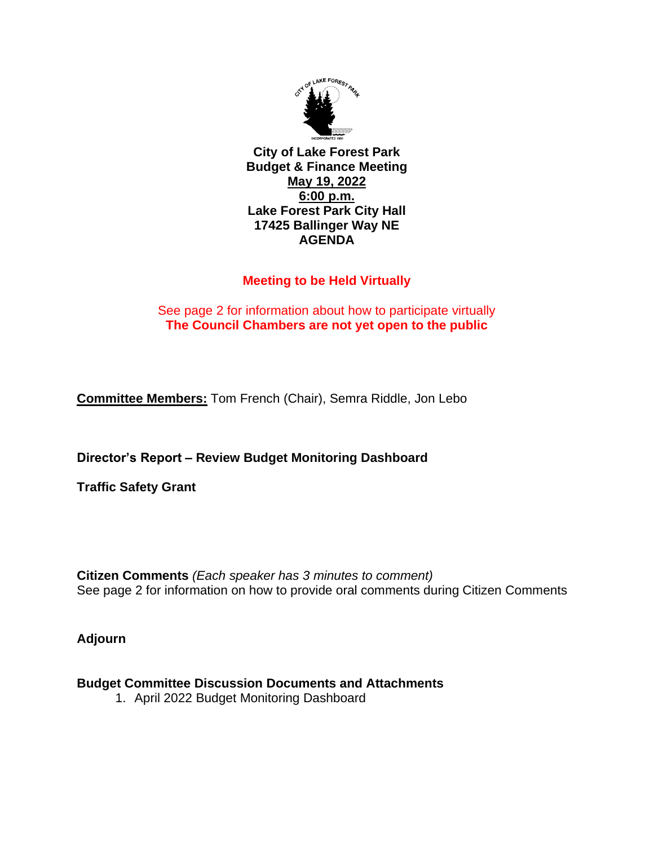

**City of Lake Forest Park Budget & Finance Meeting May 19, 2022 6:00 p.m. Lake Forest Park City Hall 17425 Ballinger Way NE AGENDA**

## **Meeting to be Held Virtually**

## See page 2 for information about how to participate virtually **The Council Chambers are not yet open to the public**

**Committee Members:** Tom French (Chair), Semra Riddle, Jon Lebo

**Director's Report – Review Budget Monitoring Dashboard**

**Traffic Safety Grant** 

**Citizen Comments** *(Each speaker has 3 minutes to comment)* See page 2 for information on how to provide oral comments during Citizen Comments

**Adjourn**

## **Budget Committee Discussion Documents and Attachments**

1. April 2022 Budget Monitoring Dashboard